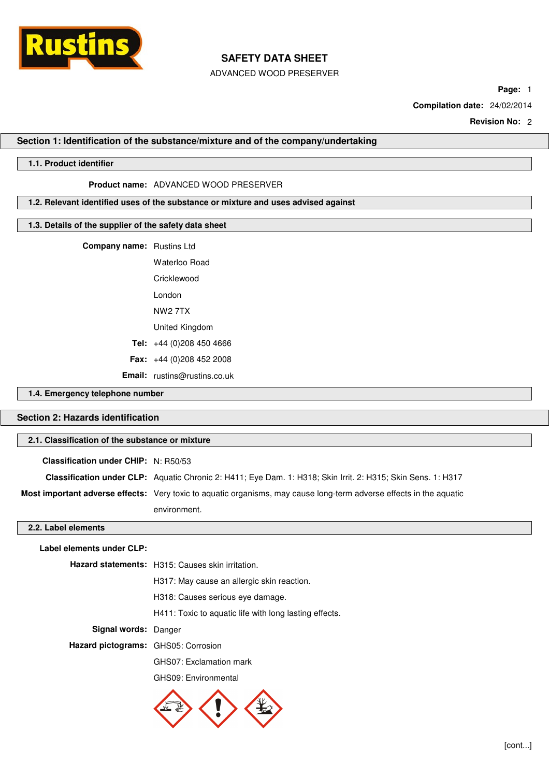

ADVANCED WOOD PRESERVER

**Page:** 1

**Compilation date:** 24/02/2014

**Revision No:** 2

#### **Section 1: Identification of the substance/mixture and of the company/undertaking**

### **1.1. Product identifier**

#### **Product name:** ADVANCED WOOD PRESERVER

#### **1.2. Relevant identified uses of the substance or mixture and uses advised against**

#### **1.3. Details of the supplier of the safety data sheet**

| <b>Company name:</b> Rustins Ltd |                                     |  |
|----------------------------------|-------------------------------------|--|
|                                  | Waterloo Road                       |  |
|                                  | Cricklewood                         |  |
|                                  | I ondon                             |  |
|                                  | <b>NW2 7TX</b>                      |  |
|                                  | United Kingdom                      |  |
|                                  | <b>Tel:</b> $+44(0)2084504666$      |  |
|                                  | <b>Fax:</b> $+44$ (0)208 452 2008   |  |
|                                  | <b>Email:</b> rustins@rustins.co.uk |  |
| 1.4. Emergency telephone number  |                                     |  |

### **Section 2: Hazards identification**

### **2.1. Classification of the substance or mixture**

| <b>Classification under CHIP:</b> N: R50/53 |                                                                                                                     |
|---------------------------------------------|---------------------------------------------------------------------------------------------------------------------|
|                                             | <b>Classification under CLP:</b> Aguatic Chronic 2: H411; Eye Dam. 1: H318; Skin Irrit. 2: H315; Skin Sens. 1: H317 |
|                                             | Most important adverse effects: Very toxic to aquatic organisms, may cause long-term adverse effects in the aquatic |
|                                             | environment.                                                                                                        |

#### **2.2. Label elements**

**Label elements under CLP:**

**Hazard statements:** H315: Causes skin irritation.

H317: May cause an allergic skin reaction.

H318: Causes serious eye damage.

H411: Toxic to aquatic life with long lasting effects.

**Signal words:** Danger

**Hazard pictograms:** GHS05: Corrosion

GHS07: Exclamation mark

GHS09: Environmental

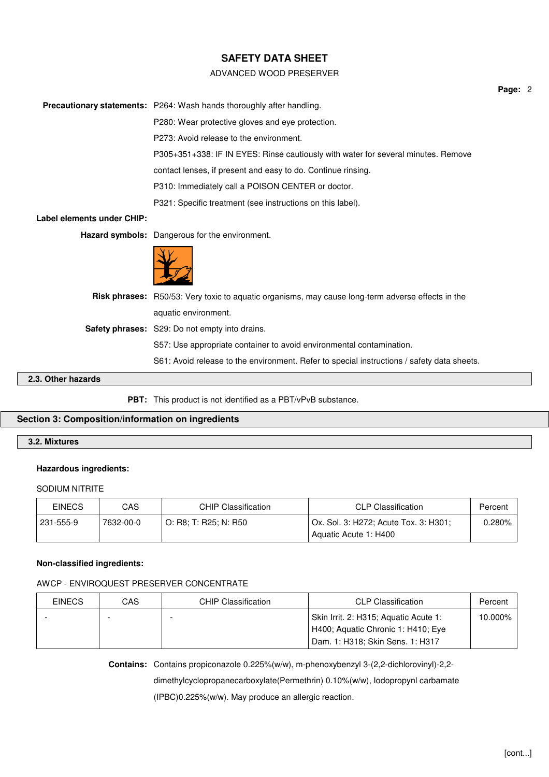#### ADVANCED WOOD PRESERVER

| Precautionary statements: P264: Wash hands thoroughly after handling.                                    |  |
|----------------------------------------------------------------------------------------------------------|--|
| P280: Wear protective gloves and eye protection.                                                         |  |
| P273: Avoid release to the environment.                                                                  |  |
| P305+351+338: IF IN EYES: Rinse cautiously with water for several minutes. Remove                        |  |
| contact lenses, if present and easy to do. Continue rinsing.                                             |  |
| P310: Immediately call a POISON CENTER or doctor.                                                        |  |
| P321: Specific treatment (see instructions on this label).                                               |  |
|                                                                                                          |  |
| Hazard symbols: Dangerous for the environment.                                                           |  |
|                                                                                                          |  |
| <b>Risk phrases:</b> R50/53: Very toxic to aquatic organisms, may cause long-term adverse effects in the |  |
| aquatic environment.                                                                                     |  |
| <b>Safety phrases:</b> S29: Do not empty into drains.                                                    |  |
| S57: Use appropriate container to avoid environmental contamination.                                     |  |
| S61: Avoid release to the environment. Refer to special instructions / safety data sheets.               |  |
|                                                                                                          |  |

### **2.3. Other hazards**

**PBT:** This product is not identified as a PBT/vPvB substance.

### **Section 3: Composition/information on ingredients**

### **3.2. Mixtures**

#### **Hazardous ingredients:**

#### SODIUM NITRITE

| <b>EINECS</b> | CAS       | CHIP Classification     | <b>CLP Classification</b>                                      | Percent |
|---------------|-----------|-------------------------|----------------------------------------------------------------|---------|
| 231-555-9     | 7632-00-0 | ' O: R8: T: R25: N: R50 | Ox. Sol. 3: H272; Acute Tox. 3: H301;<br>Aquatic Acute 1: H400 | ባ.280%  |

#### **Non-classified ingredients:**

### AWCP - ENVIROQUEST PRESERVER CONCENTRATE

| <b>EINECS</b> | CAS | <b>CHIP Classification</b> | <b>CLP Classification</b>                                                                                       | Percent |
|---------------|-----|----------------------------|-----------------------------------------------------------------------------------------------------------------|---------|
|               |     |                            | Skin Irrit. 2: H315; Aquatic Acute 1:<br>H400; Aquatic Chronic 1: H410; Eye<br>Dam. 1: H318; Skin Sens. 1: H317 | 10.000% |

**Contains:** Contains propiconazole 0.225%(w/w), m-phenoxybenzyl 3-(2,2-dichlorovinyl)-2,2 dimethylcyclopropanecarboxylate(Permethrin) 0.10%(w/w), Iodopropynl carbamate (IPBC)0.225%(w/w). May produce an allergic reaction.

**Page:** 2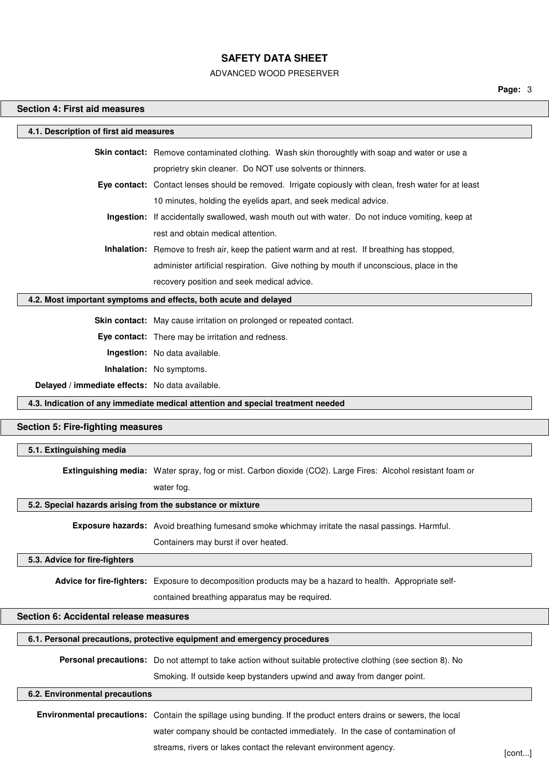#### ADVANCED WOOD PRESERVER

#### **Section 4: First aid measures**

#### **4.1. Description of first aid measures**

|                                                           | <b>Skin contact:</b> Remove contaminated clothing. Wash skin thoroughtly with soap and water or use a |
|-----------------------------------------------------------|-------------------------------------------------------------------------------------------------------|
| proprietry skin cleaner. Do NOT use solvents or thinners. |                                                                                                       |

- **Eye contact:** Contact lenses should be removed. Irrigate copiously with clean, fresh water for at least 10 minutes, holding the eyelids apart, and seek medical advice.
	- **Ingestion:** If accidentally swallowed, wash mouth out with water. Do not induce vomiting, keep at rest and obtain medical attention.
	- **Inhalation:** Remove to fresh air, keep the patient warm and at rest. If breathing has stopped, administer artificial respiration. Give nothing by mouth if unconscious, place in the recovery position and seek medical advice.

#### **4.2. Most important symptoms and effects, both acute and delayed**

**Skin contact:** May cause irritation on prolonged or repeated contact.

**Eye contact:** There may be irritation and redness.

**Ingestion:** No data available.

**Inhalation:** No symptoms.

**Delayed / immediate effects:** No data available.

**4.3. Indication of any immediate medical attention and special treatment needed**

#### **Section 5: Fire-fighting measures**

#### **5.1. Extinguishing media**

**Extinguishing media:** Water spray, fog or mist. Carbon dioxide (CO2). Large Fires: Alcohol resistant foam or water fog.

#### **5.2. Special hazards arising from the substance or mixture**

**Exposure hazards:** Avoid breathing fumesand smoke whichmay irritate the nasal passings. Harmful.

Containers may burst if over heated.

#### **5.3. Advice for fire-fighters**

**Advice for fire-fighters:** Exposure to decomposition products may be a hazard to health. Appropriate self-

contained breathing apparatus may be required.

#### **Section 6: Accidental release measures**

# **6.1. Personal precautions, protective equipment and emergency procedures**

**Personal precautions:** Do not attempt to take action without suitable protective clothing (see section 8). No

Smoking. If outside keep bystanders upwind and away from danger point.

#### **6.2. Environmental precautions**

**Environmental precautions:** Contain the spillage using bunding. If the product enters drains or sewers, the local water company should be contacted immediately. In the case of contamination of

streams, rivers or lakes contact the relevant environment agency.<br>[cont...]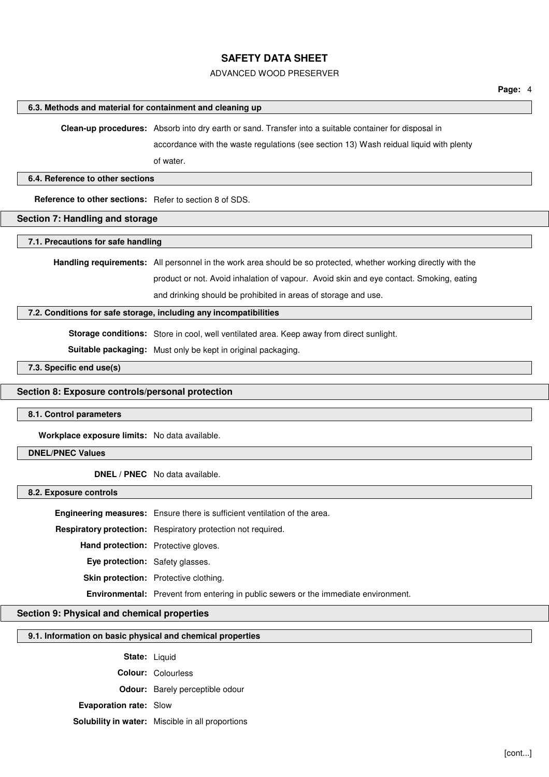#### ADVANCED WOOD PRESERVER

#### **6.3. Methods and material for containment and cleaning up**

**Clean-up procedures:** Absorb into dry earth or sand. Transfer into a suitable container for disposal in

accordance with the waste regulations (see section 13) Wash reidual liquid with plenty

of water.

#### **6.4. Reference to other sections**

**Reference to other sections:** Refer to section 8 of SDS.

### **Section 7: Handling and storage**

**7.1. Precautions for safe handling**

**Handling requirements:** All personnel in the work area should be so protected, whether working directly with the product or not. Avoid inhalation of vapour. Avoid skin and eye contact. Smoking, eating

and drinking should be prohibited in areas of storage and use.

#### **7.2. Conditions for safe storage, including any incompatibilities**

**Storage conditions:** Store in cool, well ventilated area. Keep away from direct sunlight.

**Suitable packaging:** Must only be kept in original packaging.

**7.3. Specific end use(s)**

### **Section 8: Exposure controls/personal protection**

#### **8.1. Control parameters**

**Workplace exposure limits:** No data available.

#### **DNEL/PNEC Values**

**DNEL / PNEC** No data available.

#### **8.2. Exposure controls**

**Engineering measures:** Ensure there is sufficient ventilation of the area.

**Respiratory protection:** Respiratory protection not required.

**Hand protection:** Protective gloves.

**Eye protection:** Safety glasses.

**Skin protection:** Protective clothing.

**Environmental:** Prevent from entering in public sewers or the immediate environment.

### **Section 9: Physical and chemical properties**

#### **9.1. Information on basic physical and chemical properties**

**State:** Liquid

**Colour:** Colourless

**Odour:** Barely perceptible odour

#### **Evaporation rate:** Slow

**Solubility in water:** Miscible in all proportions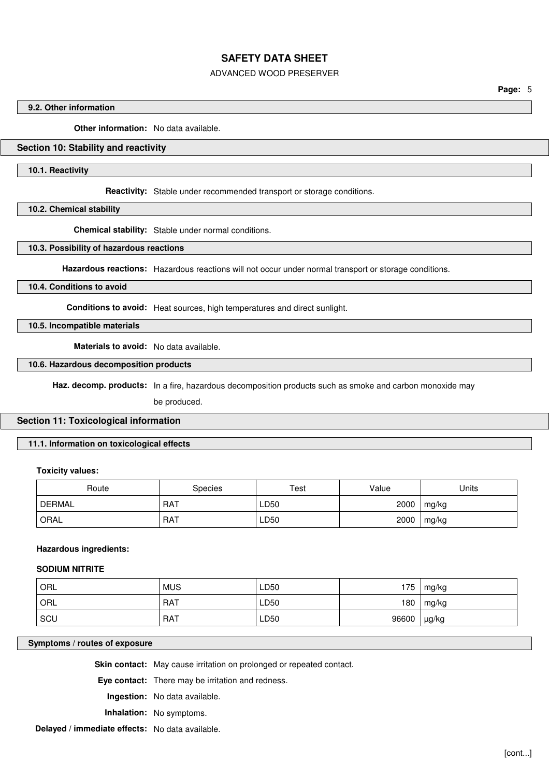#### ADVANCED WOOD PRESERVER

**Page:** 5

#### **9.2. Other information**

**Other information:** No data available.

#### **Section 10: Stability and reactivity**

**10.1. Reactivity**

**Reactivity:** Stable under recommended transport or storage conditions.

**10.2. Chemical stability**

**Chemical stability:** Stable under normal conditions.

#### **10.3. Possibility of hazardous reactions**

**Hazardous reactions:** Hazardous reactions will not occur under normal transport or storage conditions.

#### **10.4. Conditions to avoid**

**Conditions to avoid:** Heat sources, high temperatures and direct sunlight.

**10.5. Incompatible materials**

**Materials to avoid:** No data available.

#### **10.6. Hazardous decomposition products**

**Haz. decomp. products:** In a fire, hazardous decomposition products such as smoke and carbon monoxide may

be produced.

### **Section 11: Toxicological information**

### **11.1. Information on toxicological effects**

#### **Toxicity values:**

| Route         | Species    | Test | Value | Jnits |
|---------------|------------|------|-------|-------|
| <b>DERMAL</b> | RAT        | LD50 | 2000  | mg/kg |
| ORAL          | <b>RAT</b> | LD50 | 2000  | mg/kg |

#### **Hazardous ingredients:**

#### **SODIUM NITRITE**

| ORL | <b>MUS</b> | LD50 | 175   | mg/kg |
|-----|------------|------|-------|-------|
| ORL | <b>RAT</b> | LD50 | 180   | mg/kg |
| SCU | <b>RAT</b> | LD50 | 96600 | µg/kg |

### **Symptoms / routes of exposure**

**Skin contact:** May cause irritation on prolonged or repeated contact.

**Eye contact:** There may be irritation and redness.

**Ingestion:** No data available.

**Inhalation:** No symptoms.

**Delayed / immediate effects:** No data available.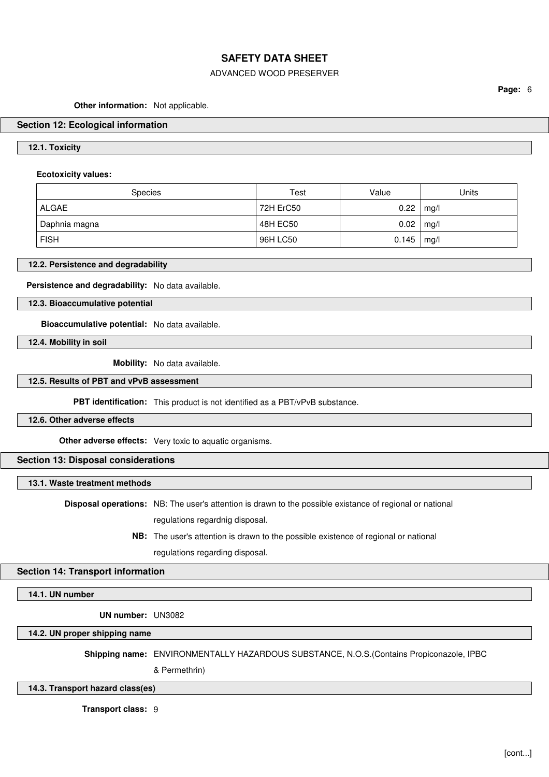### ADVANCED WOOD PRESERVER

**Page:** 6

#### **Other information:** Not applicable.

#### **Section 12: Ecological information**

#### **12.1. Toxicity**

#### **Ecotoxicity values:**

| <b>Species</b> | Test      | Value | Units |
|----------------|-----------|-------|-------|
| ALGAE          | 72H ErC50 | 0.22  | mg/l  |
| Daphnia magna  | 48H EC50  | 0.02  | mg/l  |
| <b>FISH</b>    | 96H LC50  | 0.145 | mg/l  |

#### **12.2. Persistence and degradability**

**Persistence and degradability:** No data available.

**12.3. Bioaccumulative potential**

**Bioaccumulative potential:** No data available.

**12.4. Mobility in soil**

**Mobility:** No data available.

#### **12.5. Results of PBT and vPvB assessment**

**PBT identification:** This product is not identified as a PBT/vPvB substance.

**12.6. Other adverse effects**

**Other adverse effects:** Very toxic to aquatic organisms.

### **Section 13: Disposal considerations**

**13.1. Waste treatment methods**

**Disposal operations:** NB: The user's attention is drawn to the possible existance of regional or national

regulations regardnig disposal.

**NB:** The user's attention is drawn to the possible existence of regional or national regulations regarding disposal.

#### **Section 14: Transport information**

**14.1. UN number**

**UN number:** UN3082

**14.2. UN proper shipping name**

**Shipping name:** ENVIRONMENTALLY HAZARDOUS SUBSTANCE, N.O.S.(Contains Propiconazole, IPBC

& Permethrin)

#### **14.3. Transport hazard class(es)**

**Transport class:** 9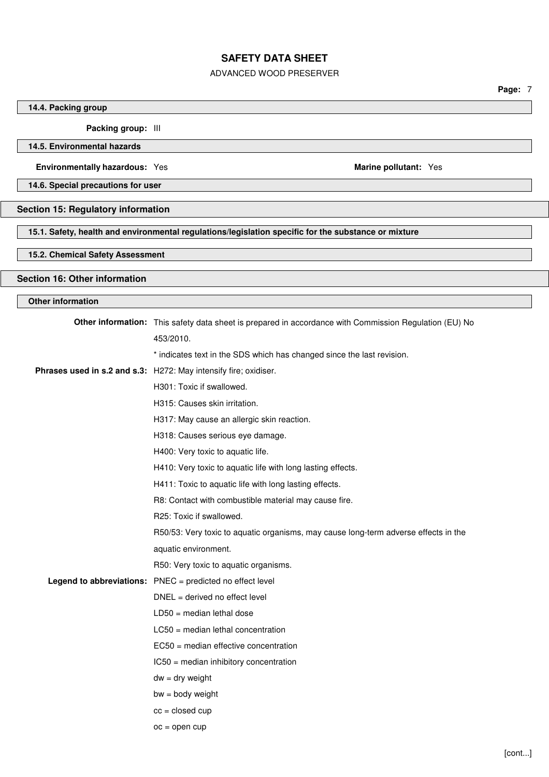#### ADVANCED WOOD PRESERVER

**14.4. Packing group**

**Packing group:** III

### **14.5. Environmental hazards**

#### **Environmentally hazardous:** Yes **Marine pollutant:** Yes **Marine pollutant:** Yes

**14.6. Special precautions for user**

### **Section 15: Regulatory information**

**15.1. Safety, health and environmental regulations/legislation specific for the substance or mixture**

### **15.2. Chemical Safety Assessment**

## **Section 16: Other information**

### **Other information**

| Other information: This safety data sheet is prepared in accordance with Commission Regulation (EU) No |
|--------------------------------------------------------------------------------------------------------|
| 453/2010.                                                                                              |
| * indicates text in the SDS which has changed since the last revision.                                 |
| Phrases used in s.2 and s.3: H272: May intensify fire; oxidiser.                                       |
| H301: Toxic if swallowed.                                                                              |
| H315: Causes skin irritation.                                                                          |
| H317: May cause an allergic skin reaction.                                                             |
| H318: Causes serious eye damage.                                                                       |
| H400: Very toxic to aquatic life.                                                                      |
| H410: Very toxic to aquatic life with long lasting effects.                                            |
| H411: Toxic to aquatic life with long lasting effects.                                                 |
| R8: Contact with combustible material may cause fire.                                                  |
| R25: Toxic if swallowed.                                                                               |
| R50/53: Very toxic to aquatic organisms, may cause long-term adverse effects in the                    |
| aquatic environment.                                                                                   |
| R50: Very toxic to aquatic organisms.                                                                  |
| Legend to abbreviations: PNEC = predicted no effect level                                              |
| DNEL = derived no effect level                                                                         |
| $LD50 = median$ lethal dose                                                                            |
| $LC50$ = median lethal concentration                                                                   |
| $EC50$ = median effective concentration                                                                |
| IC50 = median inhibitory concentration                                                                 |
| $dw = dry$ weight                                                                                      |
| $bw = body weight$                                                                                     |
| $cc = closed cup$                                                                                      |
| $oc = open cup$                                                                                        |